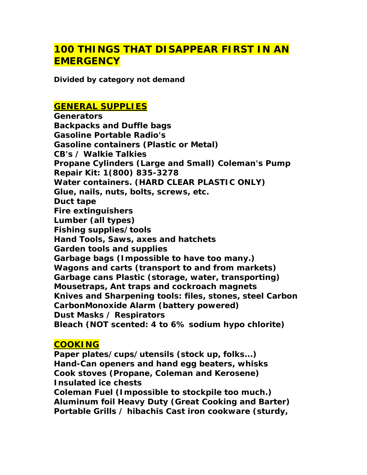# **[100 THINGS THAT DISAPPEAR FIRST IN AN](http://selfrelianceforbeginners.blogspot.com/2009/09/100-things-that-disappear-first-in.html)  [EMERGENCY](http://selfrelianceforbeginners.blogspot.com/2009/09/100-things-that-disappear-first-in.html)**

**Divided by category not deman[d](http://tcpatriot.blogspot.com/2009/01/100-things-that-disappear-first-in.html)**

### **GENERAL SUPPLIES**

**Generators Backpacks and Duffle bags Gasoline Portable Radio's Gasoline containers (Plastic or Metal) CB's / Walkie Talkies Propane Cylinders (Large and Small) Coleman's Pump Repair Kit: 1(800) 835-3278 Water containers. (HARD CLEAR PLASTIC ONLY) Glue, nails, nuts, bolts, screws, etc. Duct tape Fire extinguishers Lumber (all types) Fishing supplies/tools Hand Tools, Saws, axes and hatchets Garden tools and supplies Garbage bags (Impossible to have too many.) Wagons and carts (transport to and from markets) Garbage cans Plastic (storage, water, transporting) Mousetraps, Ant traps and cockroach magnets Knives and Sharpening tools: files, stones, steel Carbon CarbonMonoxide Alarm (battery powered) Dust Masks / Respirators Bleach (NOT scented: 4 to 6% sodium hypo chlorite)** 

### **COOKING**

**Paper plates/cups/utensils (stock up, folks...) Hand-Can openers and hand egg beaters, whisks Cook stoves (Propane, Coleman and Kerosene) Insulated ice chests** 

**Coleman Fuel (Impossible to stockpile too much.) Aluminum foil Heavy Duty (Great Cooking and Barter) Portable Grills / hibachis Cast iron cookware (sturdy,**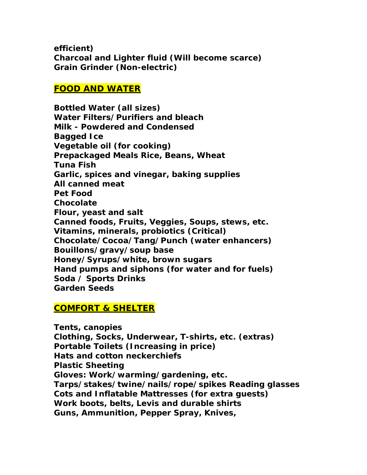**efficient) Charcoal and Lighter fluid (Will become scarce) Grain Grinder (Non-electric)** 

#### **FOOD AND WATER**

**Bottled Water (all sizes) Water Filters/Purifiers and bleach Milk - Powdered and Condensed Bagged Ice Vegetable oil (for cooking) Prepackaged Meals Rice, Beans, Wheat Tuna Fish Garlic, spices and vinegar, baking supplies All canned meat Pet Food Chocolate Flour, yeast and salt Canned foods, Fruits, Veggies, Soups, stews, etc. Vitamins, minerals, probiotics (Critical) Chocolate/Cocoa/Tang/Punch (water enhancers) Bouillons/gravy/soup base Honey/Syrups/white, brown sugars Hand pumps and siphons (for water and for fuels) Soda / Sports Drinks Garden Seeds** 

## **COMFORT & SHELTER**

**Tents, canopies Clothing, Socks, Underwear, T-shirts, etc. (extras) Portable Toilets (Increasing in price) Hats and cotton neckerchiefs Plastic Sheeting Gloves: Work/warming/gardening, etc. Tarps/stakes/twine/nails/rope/spikes Reading glasses Cots and Inflatable Mattresses (for extra guests) Work boots, belts, Levis and durable shirts Guns, Ammunition, Pepper Spray, Knives,**